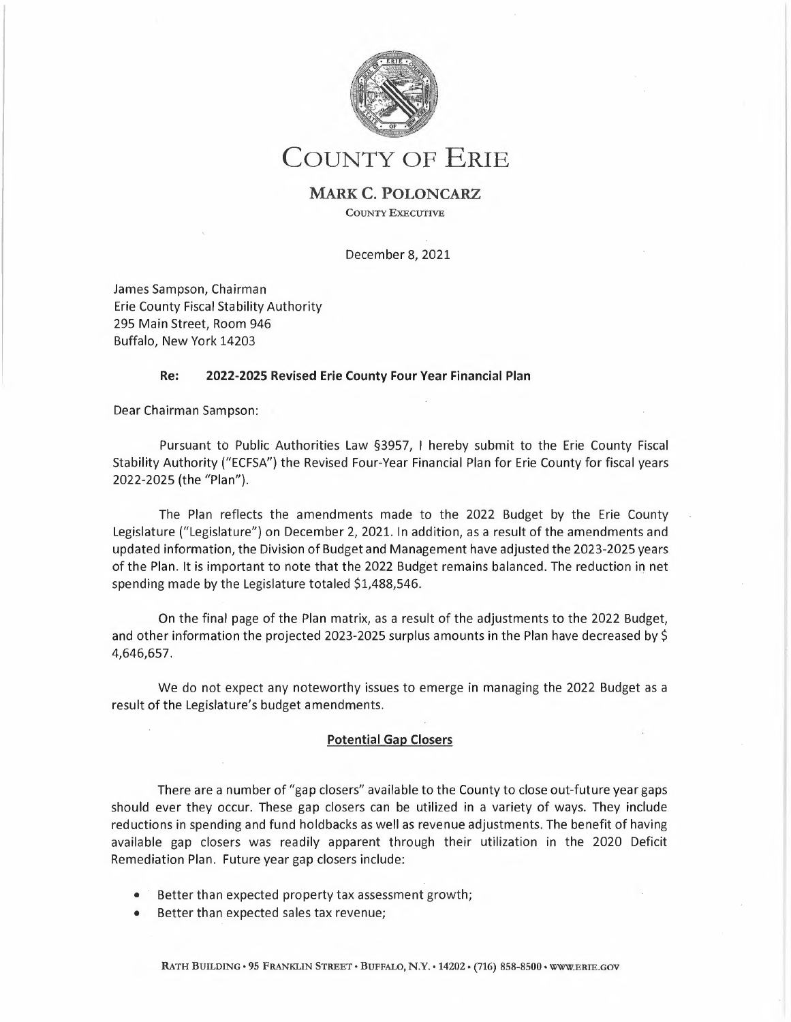

## COUNTY OF ERIE

## **MARK C. POLONCARZ**

COUNTY EXECUTIVE

December 8, 2021

James Sampson, Chairman Erie County Fiscal Stability Authority 295 Main Street, Room 946 Buffalo, New York 14203

## **Re: 2022-2025 Revised Erie County Four Year Financial Plan**

Dear Chairman Sampson:

Pursuant to Public Authorities Law §3957, <sup>I</sup> hereby submit to the Erie County Fiscal Stability Authority ("ECFSA") the Revised Four-Year Financial Plan for Erie County for fiscal years 2022-2025 (the "Plan").

The Plan reflects the amendments made to the 2022 Budget by the Erie County Legislature ("Legislature") on December 2, 2021. In addition, as <sup>a</sup> result of the amendments and updated information, the Division of Budget and Management have adjusted the 2023-2025 years of the Plan. It is important to note that the 2022 Budget remains balanced. The reduction in net spending made by the Legislature totaled \$1,488,546.

On the final page of the Plan matrix, as <sup>a</sup> result of the adjustments to the 2022 Budget, and other information the projected 2023-2025 surplus amounts in the Plan have decreased by \$ 4,646,657.

We do not expect any noteworthy issues to emerge in managing the 2022 Budget as <sup>a</sup> result of the Legislature's budget amendments.

## **Potential Gap Closers**

There are <sup>a</sup> number of "gap closers" available to the County to close out-future year gaps should ever they occur. These gap closers can be utilized in <sup>a</sup> variety of ways. They include reductions in spending and fund holdbacks as well as revenue adjustments. The benefit of having available gap closers was readily apparent through their utilization in the 2020 Deficit Remediation Plan. Future year gap closers include:

- Better than expected property tax assessment growth;
- Better than expected sales tax revenue;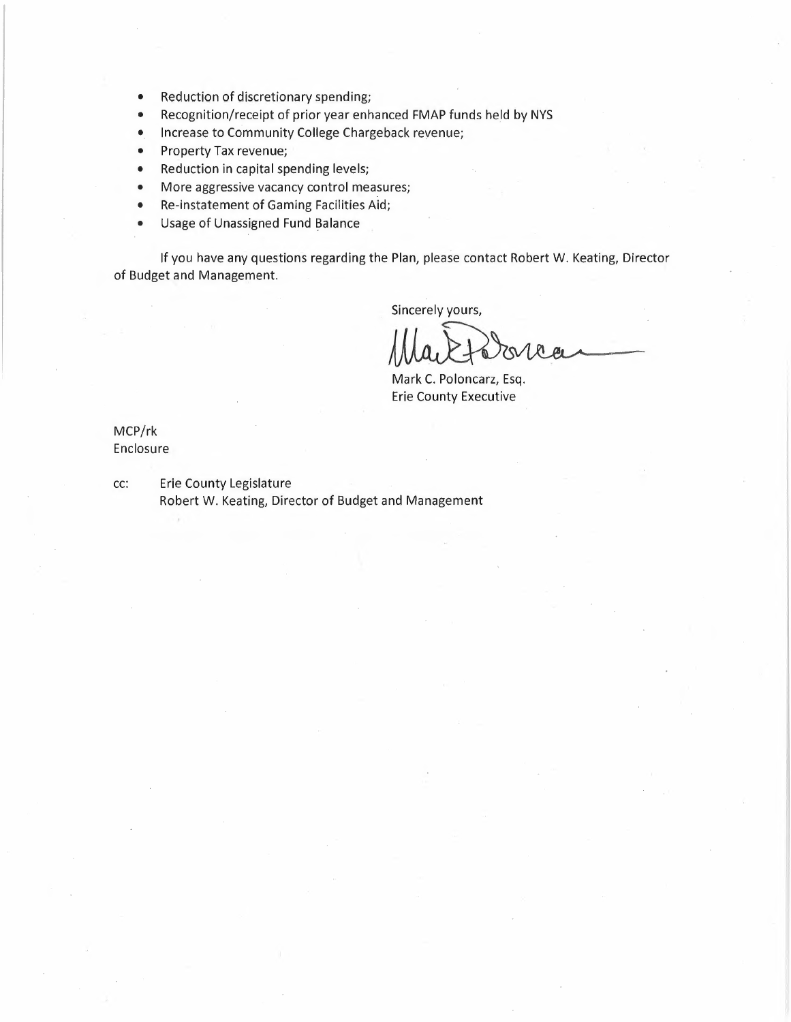- Reduction of discretionary spending;
- Recognition/receipt of prior year enhanced FMAP funds held by NYS
- Increase to Community College Chargeback revenue;
- Property Tax revenue;
- Reduction in capital spending levels;
- More aggressive vacancy control measures;
- Re-instatement of Gaming Facilities Aid;
- Usage of Unassigned Fund Balance

If you have any questions regarding the Plan, please contact Robert W. Keating, Director of Budget and Management.

Sincerely yours,

Plan, please con<br>Sincerely yours,<br>Mare Martto

Mark C. Poloncarz, Esq. Erie County Executive

MCP/rk Enclosure

cc: Erie County Legislature Robert W. Keating, Director of Budget and Management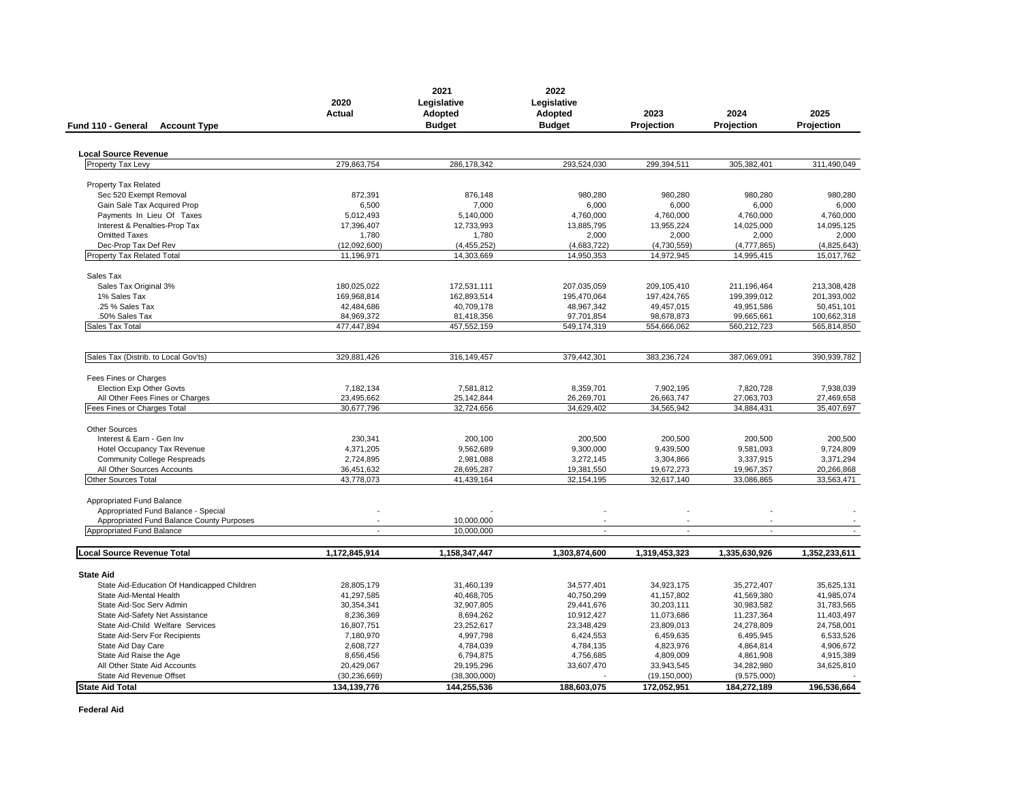| Fund 110 - General<br><b>Account Type</b>   | 2020<br>Actual | 2021<br>Legislative<br>Adopted<br><b>Budget</b> | 2022<br>Legislative<br>Adopted<br><b>Budget</b> | 2023<br>Projection | 2024<br>Projection | 2025<br>Projection |
|---------------------------------------------|----------------|-------------------------------------------------|-------------------------------------------------|--------------------|--------------------|--------------------|
|                                             |                |                                                 |                                                 |                    |                    |                    |
| <b>Local Source Revenue</b>                 |                |                                                 |                                                 |                    |                    |                    |
| Property Tax Levy                           | 279,863,754    | 286,178,342                                     | 293,524,030                                     | 299,394,511        | 305,382,401        | 311.490.049        |
|                                             |                |                                                 |                                                 |                    |                    |                    |
| <b>Property Tax Related</b>                 |                |                                                 |                                                 |                    |                    |                    |
| Sec 520 Exempt Removal                      | 872,391        | 876,148                                         | 980,280                                         | 980,280            | 980,280            | 980,280            |
| Gain Sale Tax Acquired Prop                 | 6,500          | 7,000                                           | 6,000                                           | 6,000              | 6,000              | 6,000              |
| Payments In Lieu Of Taxes                   | 5,012,493      | 5,140,000                                       | 4,760,000                                       | 4,760,000          | 4,760,000          | 4,760,000          |
| Interest & Penalties-Prop Tax               | 17,396,407     | 12,733,993                                      | 13,885,795                                      | 13,955,224         | 14,025,000         | 14,095,125         |
| <b>Omitted Taxes</b>                        | 1,780          | 1,780                                           | 2,000                                           | 2,000              | 2,000              | 2,000              |
| Dec-Prop Tax Def Rev                        | (12,092,600)   | (4, 455, 252)                                   | (4,683,722)                                     | (4,730,559)        | (4, 777, 865)      | (4,825,643)        |
| Property Tax Related Total                  | 11,196,971     | 14,303,669                                      | 14,950,353                                      | 14,972,945         | 14,995,415         | 15,017,762         |
|                                             |                |                                                 |                                                 |                    |                    |                    |
| Sales Tax<br>Sales Tax Original 3%          | 180,025,022    | 172,531,111                                     | 207,035,059                                     | 209,105,410        | 211,196,464        | 213,308,428        |
| 1% Sales Tax                                | 169,968,814    | 162,893,514                                     | 195,470,064                                     | 197,424,765        | 199,399,012        | 201,393,002        |
| .25 % Sales Tax                             | 42,484,686     | 40,709,178                                      | 48,967,342                                      | 49,457,015         | 49,951,586         | 50,451,101         |
| 50% Sales Tax                               | 84,969,372     | 81,418,356                                      | 97,701,854                                      | 98,678,873         | 99,665,661         | 100,662,318        |
| Sales Tax Total                             | 477,447,894    | 457,552,159                                     | 549,174,319                                     | 554,666,062        | 560,212,723        | 565,814,850        |
|                                             |                |                                                 |                                                 |                    |                    |                    |
| Sales Tax (Distrib. to Local Gov'ts)        | 329,881,426    | 316,149,457                                     | 379,442,301                                     | 383,236,724        | 387,069,091        | 390,939,782        |
|                                             |                |                                                 |                                                 |                    |                    |                    |
| Fees Fines or Charges                       |                |                                                 |                                                 |                    |                    |                    |
| <b>Election Exp Other Govts</b>             | 7,182,134      | 7,581,812                                       | 8,359,701                                       | 7,902,195          | 7,820,728          | 7,938,039          |
| All Other Fees Fines or Charges             | 23,495,662     | 25, 142, 844                                    | 26,269,701                                      | 26,663,747         | 27,063,703         | 27,469,658         |
| Fees Fines or Charges Total                 | 30,677,796     | 32,724,656                                      | 34,629,402                                      | 34,565,942         | 34,884,431         | 35,407,697         |
| <b>Other Sources</b>                        |                |                                                 |                                                 |                    |                    |                    |
| Interest & Earn - Gen Inv                   | 230,341        | 200,100                                         | 200,500                                         | 200,500            | 200,500            | 200,500            |
| Hotel Occupancy Tax Revenue                 | 4,371,205      | 9,562,689                                       | 9,300,000                                       | 9,439,500          | 9,581,093          | 9,724,809          |
| <b>Community College Respreads</b>          | 2,724,895      | 2,981,088                                       | 3,272,145                                       | 3,304,866          | 3,337,915          | 3,371,294          |
| All Other Sources Accounts                  | 36,451,632     | 28,695,287                                      | 19,381,550                                      | 19,672,273         | 19,967,357         | 20,266,868         |
| <b>Other Sources Total</b>                  | 43.778.073     | 41.439.164                                      | 32.154.195                                      | 32,617,140         | 33,086,865         | 33,563,471         |
|                                             |                |                                                 |                                                 |                    |                    |                    |
| Appropriated Fund Balance                   |                |                                                 |                                                 |                    |                    |                    |
| Appropriated Fund Balance - Special         |                |                                                 |                                                 |                    |                    |                    |
| Appropriated Fund Balance County Purposes   |                | 10,000,000                                      |                                                 |                    |                    |                    |
| Appropriated Fund Balance                   |                | 10,000,000                                      | ÷.                                              |                    |                    |                    |
| <b>Local Source Revenue Total</b>           | 1,172,845,914  | 1,158,347,447                                   | 1,303,874,600                                   | 1,319,453,323      | 1.335.630.926      | 1,352,233,611      |
|                                             |                |                                                 |                                                 |                    |                    |                    |
| <b>State Aid</b>                            |                |                                                 |                                                 |                    |                    |                    |
| State Aid-Education Of Handicapped Children | 28,805,179     | 31,460,139                                      | 34,577,401                                      | 34,923,175         | 35,272,407         | 35,625,131         |
| State Aid-Mental Health                     | 41,297,585     | 40,468,705                                      | 40,750,299                                      | 41,157,802         | 41,569,380         | 41,985,074         |
| State Aid-Soc Serv Admin                    | 30,354,341     | 32,907,805                                      | 29,441,676                                      | 30,203,111         | 30,983,582         | 31,783,565         |
| State Aid-Safety Net Assistance             | 8,236,369      | 8,694,262                                       | 10,912,427                                      | 11,073,686         | 11,237,364         | 11,403,497         |
| State Aid-Child Welfare Services            | 16,807,751     | 23,252,617                                      | 23,348,429                                      | 23,809,013         | 24,278,809         | 24,758,001         |
| State Aid-Serv For Recipients               | 7,180,970      | 4,997,798                                       | 6,424,553                                       | 6,459,635          | 6,495,945          | 6,533,526          |
| State Aid Day Care                          | 2,608,727      | 4,784,039                                       | 4,784,135                                       | 4,823,976          | 4,864,814          | 4,906,672          |
| State Aid Raise the Age                     | 8,656,456      | 6,794,875                                       | 4,756,685                                       | 4,809,009          | 4,861,908          | 4,915,389          |
| All Other State Aid Accounts                | 20,429,067     | 29,195,296                                      | 33,607,470                                      | 33,943,545         | 34,282,980         | 34,625,810         |
| State Aid Revenue Offset                    | (30, 236, 669) | (38, 300, 000)                                  |                                                 | (19, 150, 000)     | (9,575,000)        |                    |
| <b>State Aid Total</b>                      | 134,139,776    | 144,255,536                                     | 188,603,075                                     | 172,052,951        | 184,272,189        | 196,536,664        |

**Federal Aid**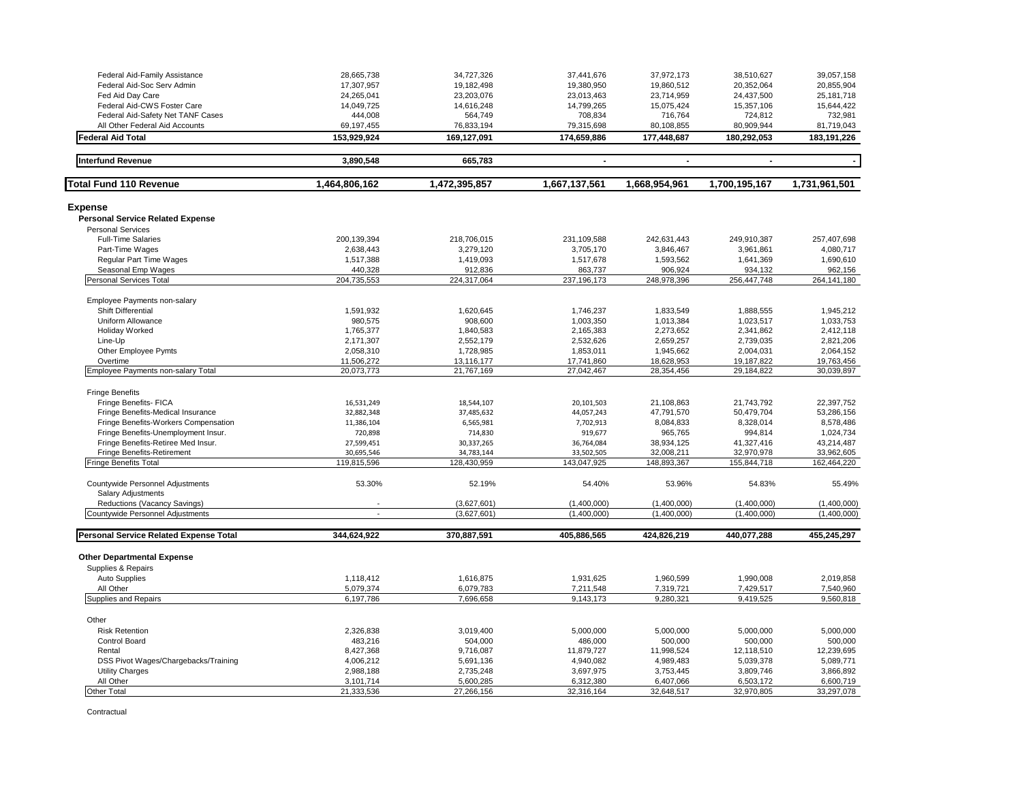| Federal Aid-Family Assistance                           | 28,665,738     | 34,727,326    | 37,441,676     | 37,972,173               | 38,510,627               | 39,057,158    |
|---------------------------------------------------------|----------------|---------------|----------------|--------------------------|--------------------------|---------------|
| Federal Aid-Soc Serv Admin                              | 17,307,957     | 19,182,498    | 19,380,950     | 19,860,512               | 20,352,064               | 20,855,904    |
| Fed Aid Day Care                                        | 24,265,041     | 23,203,076    | 23,013,463     | 23,714,959               | 24,437,500               | 25, 181, 718  |
| Federal Aid-CWS Foster Care                             | 14,049,725     | 14,616,248    | 14,799,265     | 15,075,424               | 15,357,106               | 15,644,422    |
| Federal Aid-Safety Net TANF Cases                       | 444,008        | 564,749       | 708,834        | 716,764                  | 724,812                  | 732,981       |
| All Other Federal Aid Accounts                          | 69,197,455     | 76,833,194    | 79,315,698     | 80,108,855               | 80,909,944               | 81,719,043    |
| <b>Federal Aid Total</b>                                | 153,929,924    | 169,127,091   | 174,659,886    | 177,448,687              | 180,292,053              | 183, 191, 226 |
|                                                         |                |               |                |                          |                          |               |
| <b>Interfund Revenue</b>                                | 3,890,548      | 665,783       | $\blacksquare$ | $\overline{\phantom{a}}$ | $\overline{\phantom{a}}$ | $\sim$        |
| <b>Total Fund 110 Revenue</b>                           | 1.464,806,162  | 1,472,395,857 | 1,667,137,561  | 1,668,954,961            | 1,700,195,167            | 1,731,961,501 |
| <b>Expense</b>                                          |                |               |                |                          |                          |               |
| <b>Personal Service Related Expense</b>                 |                |               |                |                          |                          |               |
| <b>Personal Services</b>                                |                |               |                |                          |                          |               |
| <b>Full-Time Salaries</b>                               | 200,139,394    | 218,706,015   | 231,109,588    | 242,631,443              | 249,910,387              | 257.407.698   |
| Part-Time Wages                                         | 2,638,443      | 3,279,120     | 3,705,170      | 3,846,467                | 3,961,861                | 4,080,717     |
| Regular Part Time Wages                                 | 1,517,388      | 1,419,093     | 1,517,678      | 1,593,562                | 1,641,369                | 1,690,610     |
| Seasonal Emp Wages                                      | 440,328        | 912,836       | 863,737        | 906,924                  | 934,132                  | 962,156       |
| Personal Services Total                                 | 204,735,553    | 224,317,064   | 237, 196, 173  | 248,978,396              | 256,447,748              | 264,141,180   |
| Employee Payments non-salary                            |                |               |                |                          |                          |               |
| Shift Differential                                      | 1,591,932      | 1,620,645     | 1,746,237      | 1,833,549                | 1,888,555                | 1,945,212     |
| Uniform Allowance                                       | 980,575        | 908,600       | 1,003,350      | 1,013,384                | 1,023,517                | 1,033,753     |
| Holiday Worked                                          | 1,765,377      | 1,840,583     | 2,165,383      | 2,273,652                | 2,341,862                | 2,412,118     |
| Line-Up                                                 | 2,171,307      | 2,552,179     | 2,532,626      | 2,659,257                | 2,739,035                | 2,821,206     |
| Other Employee Pymts                                    | 2,058,310      | 1,728,985     | 1,853,011      | 1,945,662                | 2,004,031                | 2,064,152     |
| Overtime                                                | 11,506,272     | 13,116,177    | 17,741,860     | 18,628,953               | 19,187,822               | 19,763,456    |
| Employee Payments non-salary Total                      | 20,073,773     | 21,767,169    | 27,042,467     | 28,354,456               | 29,184,822               | 30,039,897    |
|                                                         |                |               |                |                          |                          |               |
| <b>Fringe Benefits</b>                                  |                |               |                |                          |                          |               |
| Fringe Benefits- FICA                                   | 16,531,249     | 18,544,107    | 20,101,503     | 21,108,863               | 21,743,792               | 22,397,752    |
| Fringe Benefits-Medical Insurance                       | 32,882,348     | 37,485,632    | 44,057,243     | 47,791,570               | 50,479,704               | 53,286,156    |
| Fringe Benefits-Workers Compensation                    | 11,386,104     | 6,565,981     | 7,702,913      | 8,084,833                | 8,328,014                | 8,578,486     |
| Fringe Benefits-Unemployment Insur.                     | 720,898        | 714,830       | 919,677        | 965,765                  | 994,814                  | 1,024,734     |
| Fringe Benefits-Retiree Med Insur.                      | 27,599,451     | 30,337,265    | 36,764,084     | 38,934,125               | 41,327,416               | 43,214,487    |
| Fringe Benefits-Retirement                              | 30,695,546     | 34,783,144    | 33,502,505     | 32,008,211               | 32,970,978               | 33,962,605    |
| <b>Fringe Benefits Total</b>                            | 119,815,596    | 128.430.959   | 143.047.925    | 148,893,367              | 155,844,718              | 162,464,220   |
| Countywide Personnel Adjustments                        | 53.30%         | 52.19%        | 54.40%         | 53.96%                   | 54.83%                   | 55.49%        |
| <b>Salary Adjustments</b>                               |                |               |                |                          |                          |               |
| Reductions (Vacancy Savings)                            |                | (3,627,601)   | (1,400,000)    | (1,400,000)              | (1,400,000)              | (1,400,000)   |
| Countywide Personnel Adjustments                        | $\overline{a}$ | (3,627,601)   | (1,400,000)    | (1,400,000)              | (1,400,000)              | (1,400,000)   |
| <b>Personal Service Related Expense Total</b>           | 344,624,922    | 370,887,591   | 405,886,565    | 424,826,219              | 440,077,288              | 455,245,297   |
|                                                         |                |               |                |                          |                          |               |
| <b>Other Departmental Expense</b><br>Supplies & Repairs |                |               |                |                          |                          |               |
| Auto Supplies                                           | 1,118,412      | 1,616,875     | 1,931,625      | 1,960,599                | 1,990,008                | 2,019,858     |
| All Other                                               | 5,079,374      | 6,079,783     | 7,211,548      | 7,319,721                | 7,429,517                | 7,540,960     |
| Supplies and Repairs                                    | 6,197,786      | 7,696,658     | 9,143,173      | 9,280,321                | 9,419,525                | 9,560,818     |
| Other                                                   |                |               |                |                          |                          |               |
|                                                         |                |               |                |                          |                          |               |
| <b>Risk Retention</b>                                   | 2,326,838      | 3,019,400     | 5,000,000      | 5,000,000                | 5,000,000                | 5,000,000     |
| Control Board                                           | 483,216        | 504,000       | 486,000        | 500,000                  | 500,000                  | 500,000       |
| Rental                                                  | 8,427,368      | 9,716,087     | 11,879,727     | 11,998,524               | 12,118,510               | 12,239,695    |
| DSS Pivot Wages/Chargebacks/Training                    | 4,006,212      | 5,691,136     | 4,940,082      | 4,989,483                | 5,039,378                | 5,089,771     |
| <b>Utility Charges</b>                                  | 2,988,188      | 2,735,248     | 3,697,975      | 3,753,445                | 3,809,746                | 3,866,892     |
| All Other                                               | 3,101,714      | 5,600,285     | 6,312,380      | 6,407,066                | 6,503,172                | 6,600,719     |
| <b>Other Total</b>                                      | 21,333,536     | 27,266,156    | 32,316,164     | 32,648,517               | 32,970,805               | 33,297,078    |

Contractual